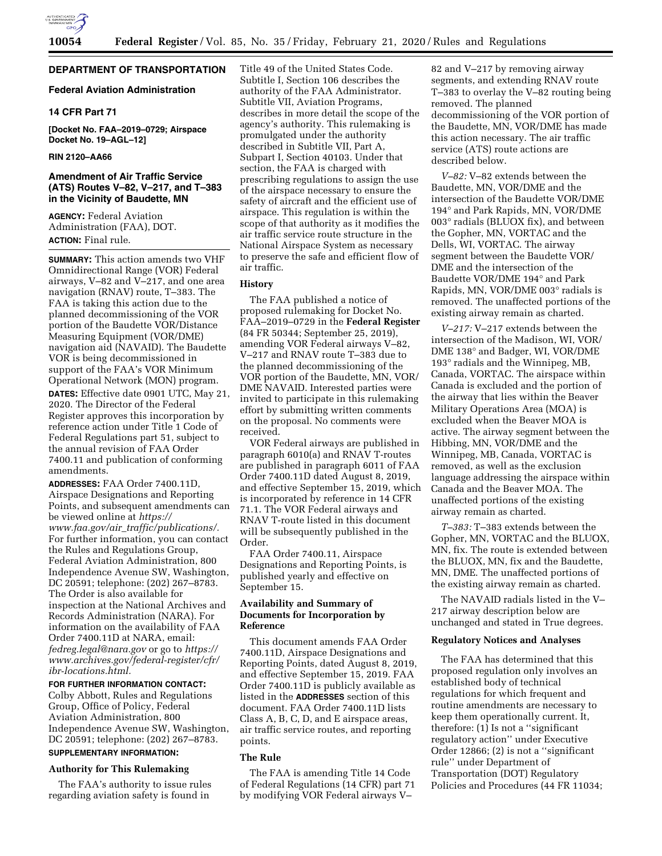

# **DEPARTMENT OF TRANSPORTATION**

## **Federal Aviation Administration**

# **14 CFR Part 71**

**[Docket No. FAA–2019–0729; Airspace Docket No. 19–AGL–12]** 

### **RIN 2120–AA66**

# **Amendment of Air Traffic Service (ATS) Routes V–82, V–217, and T–383 in the Vicinity of Baudette, MN**

**AGENCY:** Federal Aviation Administration (FAA), DOT. **ACTION:** Final rule.

**SUMMARY:** This action amends two VHF Omnidirectional Range (VOR) Federal airways, V–82 and V–217, and one area navigation (RNAV) route, T–383. The FAA is taking this action due to the planned decommissioning of the VOR portion of the Baudette VOR/Distance Measuring Equipment (VOR/DME) navigation aid (NAVAID). The Baudette VOR is being decommissioned in support of the FAA's VOR Minimum Operational Network (MON) program.

**DATES:** Effective date 0901 UTC, May 21, 2020. The Director of the Federal Register approves this incorporation by reference action under Title 1 Code of Federal Regulations part 51, subject to the annual revision of FAA Order 7400.11 and publication of conforming amendments.

**ADDRESSES:** FAA Order 7400.11D, Airspace Designations and Reporting Points, and subsequent amendments can be viewed online at *[https://](https://www.faa.gov/air_traffic/publications/) www.faa.gov/air*\_*[traffic/publications/.](https://www.faa.gov/air_traffic/publications/)*  For further information, you can contact the Rules and Regulations Group, Federal Aviation Administration, 800 Independence Avenue SW, Washington, DC 20591; telephone: (202) 267–8783. The Order is also available for inspection at the National Archives and Records Administration (NARA). For information on the availability of FAA Order 7400.11D at NARA, email: *[fedreg.legal@nara.gov](mailto:fedreg.legal@nara.gov)* or go to *[https://](https://www.archives.gov/federal-register/cfr/ibr-locations.html) [www.archives.gov/federal-register/cfr/](https://www.archives.gov/federal-register/cfr/ibr-locations.html)  [ibr-locations.html.](https://www.archives.gov/federal-register/cfr/ibr-locations.html)* 

### **FOR FURTHER INFORMATION CONTACT:**

Colby Abbott, Rules and Regulations Group, Office of Policy, Federal Aviation Administration, 800 Independence Avenue SW, Washington, DC 20591; telephone: (202) 267–8783.

# **SUPPLEMENTARY INFORMATION:**

# **Authority for This Rulemaking**

The FAA's authority to issue rules regarding aviation safety is found in

Title 49 of the United States Code. Subtitle I, Section 106 describes the authority of the FAA Administrator. Subtitle VII, Aviation Programs, describes in more detail the scope of the agency's authority. This rulemaking is promulgated under the authority described in Subtitle VII, Part A, Subpart I, Section 40103. Under that section, the FAA is charged with prescribing regulations to assign the use of the airspace necessary to ensure the safety of aircraft and the efficient use of airspace. This regulation is within the scope of that authority as it modifies the air traffic service route structure in the National Airspace System as necessary to preserve the safe and efficient flow of air traffic.

# **History**

The FAA published a notice of proposed rulemaking for Docket No. FAA–2019–0729 in the **Federal Register**  (84 FR 50344; September 25, 2019), amending VOR Federal airways V–82, V–217 and RNAV route T–383 due to the planned decommissioning of the VOR portion of the Baudette, MN, VOR/ DME NAVAID. Interested parties were invited to participate in this rulemaking effort by submitting written comments on the proposal. No comments were received.

VOR Federal airways are published in paragraph 6010(a) and RNAV T-routes are published in paragraph 6011 of FAA Order 7400.11D dated August 8, 2019, and effective September 15, 2019, which is incorporated by reference in 14 CFR 71.1. The VOR Federal airways and RNAV T-route listed in this document will be subsequently published in the Order.

FAA Order 7400.11, Airspace Designations and Reporting Points, is published yearly and effective on September 15.

### **Availability and Summary of Documents for Incorporation by Reference**

This document amends FAA Order 7400.11D, Airspace Designations and Reporting Points, dated August 8, 2019, and effective September 15, 2019. FAA Order 7400.11D is publicly available as listed in the **ADDRESSES** section of this document. FAA Order 7400.11D lists Class A, B, C, D, and E airspace areas, air traffic service routes, and reporting points.

#### **The Rule**

The FAA is amending Title 14 Code of Federal Regulations (14 CFR) part 71 by modifying VOR Federal airways V–

82 and V–217 by removing airway segments, and extending RNAV route T–383 to overlay the V–82 routing being removed. The planned decommissioning of the VOR portion of the Baudette, MN, VOR/DME has made this action necessary. The air traffic service (ATS) route actions are described below.

*V–82:* V–82 extends between the Baudette, MN, VOR/DME and the intersection of the Baudette VOR/DME 194° and Park Rapids, MN, VOR/DME 003° radials (BLUOX fix), and between the Gopher, MN, VORTAC and the Dells, WI, VORTAC. The airway segment between the Baudette VOR/ DME and the intersection of the Baudette VOR/DME 194° and Park Rapids, MN, VOR/DME 003° radials is removed. The unaffected portions of the existing airway remain as charted.

*V–217:* V–217 extends between the intersection of the Madison, WI, VOR/ DME 138° and Badger, WI, VOR/DME 193° radials and the Winnipeg, MB, Canada, VORTAC. The airspace within Canada is excluded and the portion of the airway that lies within the Beaver Military Operations Area (MOA) is excluded when the Beaver MOA is active. The airway segment between the Hibbing, MN, VOR/DME and the Winnipeg, MB, Canada, VORTAC is removed, as well as the exclusion language addressing the airspace within Canada and the Beaver MOA. The unaffected portions of the existing airway remain as charted.

*T–383:* T–383 extends between the Gopher, MN, VORTAC and the BLUOX, MN, fix. The route is extended between the BLUOX, MN, fix and the Baudette, MN, DME. The unaffected portions of the existing airway remain as charted.

The NAVAID radials listed in the V– 217 airway description below are unchanged and stated in True degrees.

### **Regulatory Notices and Analyses**

The FAA has determined that this proposed regulation only involves an established body of technical regulations for which frequent and routine amendments are necessary to keep them operationally current. It, therefore: (1) Is not a ''significant regulatory action'' under Executive Order 12866; (2) is not a ''significant rule'' under Department of Transportation (DOT) Regulatory Policies and Procedures (44 FR 11034;